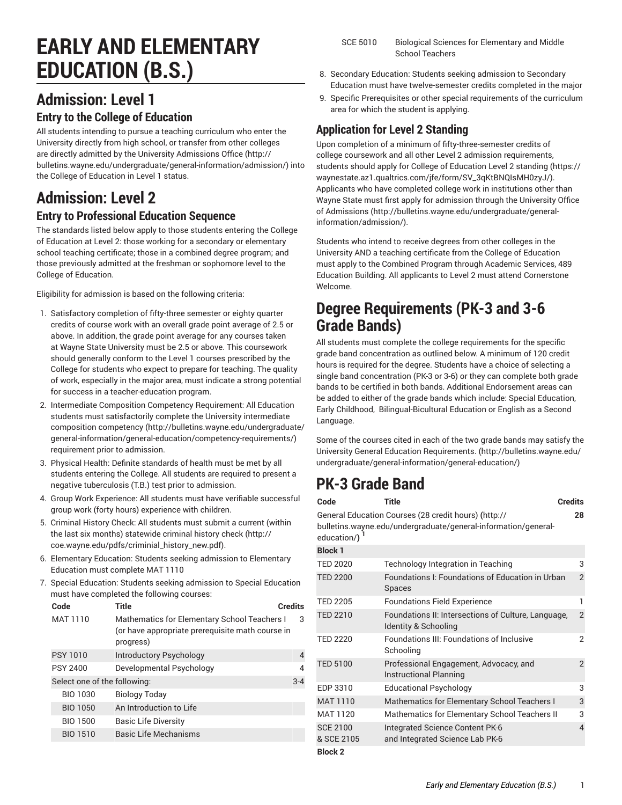# **EARLY AND ELEMENTARY EDUCATION (B.S.)**

# **Admission: Level 1**

#### **Entry to the College of Education**

All students intending to pursue a teaching curriculum who enter the University directly from high school, or transfer from other colleges are directly admitted by the University [Admissions](http://bulletins.wayne.edu/undergraduate/general-information/admission/) Office ([http://](http://bulletins.wayne.edu/undergraduate/general-information/admission/) [bulletins.wayne.edu/undergraduate/general-information/admission/\)](http://bulletins.wayne.edu/undergraduate/general-information/admission/) into the College of Education in Level 1 status.

# **Admission: Level 2**

#### **Entry to Professional Education Sequence**

The standards listed below apply to those students entering the College of Education at Level 2: those working for a secondary or elementary school teaching certificate; those in a combined degree program; and those previously admitted at the freshman or sophomore level to the College of Education.

Eligibility for admission is based on the following criteria:

- 1. Satisfactory completion of fifty-three semester or eighty quarter credits of course work with an overall grade point average of 2.5 or above. In addition, the grade point average for any courses taken at Wayne State University must be 2.5 or above. This coursework should generally conform to the Level 1 courses prescribed by the College for students who expect to prepare for teaching. The quality of work, especially in the major area, must indicate a strong potential for success in a teacher-education program.
- 2. Intermediate Composition Competency Requirement: All Education students must satisfactorily complete the University [intermediate](http://bulletins.wayne.edu/undergraduate/general-information/general-education/competency-requirements/) [composition competency](http://bulletins.wayne.edu/undergraduate/general-information/general-education/competency-requirements/) ([http://bulletins.wayne.edu/undergraduate/](http://bulletins.wayne.edu/undergraduate/general-information/general-education/competency-requirements/) [general-information/general-education/competency-requirements/](http://bulletins.wayne.edu/undergraduate/general-information/general-education/competency-requirements/)) requirement prior to admission.
- 3. Physical Health: Definite standards of health must be met by all students entering the College. All students are required to present a negative tuberculosis (T.B.) test prior to admission.
- 4. Group Work Experience: All students must have verifiable successful group work (forty hours) experience with children.
- 5. Criminal History Check: All students must submit a current (within the last six months) statewide [criminal](http://coe.wayne.edu/pdfs/criminial_history_new.pdf) history check [\(http://](http://coe.wayne.edu/pdfs/criminial_history_new.pdf) [coe.wayne.edu/pdfs/criminial\\_history\\_new.pdf\)](http://coe.wayne.edu/pdfs/criminial_history_new.pdf).
- 6. Elementary Education: Students seeking admission to Elementary Education must complete MAT 1110
- 7. Special Education: Students seeking admission to Special Education must have completed the following courses:

|  | Code                         | Title                                                                                                         | <b>Credits</b> |
|--|------------------------------|---------------------------------------------------------------------------------------------------------------|----------------|
|  | <b>MAT 1110</b>              | Mathematics for Elementary School Teachers I<br>(or have appropriate prerequisite math course in<br>progress) | 3              |
|  | <b>PSY 1010</b>              | Introductory Psychology                                                                                       | 4              |
|  | <b>PSY 2400</b>              | Developmental Psychology                                                                                      | 4              |
|  | Select one of the following: |                                                                                                               | $3 - 4$        |
|  | <b>BIO 1030</b>              | <b>Biology Today</b>                                                                                          |                |
|  | <b>BIO 1050</b>              | An Introduction to Life                                                                                       |                |
|  | BIO 1500                     | <b>Basic Life Diversity</b>                                                                                   |                |
|  | <b>BIO 1510</b>              | <b>Basic Life Mechanisms</b>                                                                                  |                |
|  |                              |                                                                                                               |                |

- 8. Secondary Education: Students seeking admission to Secondary Education must have twelve-semester credits completed in the major
- 9. Specific Prerequisites or other special requirements of the curriculum area for which the student is applying.

### **Application for Level 2 Standing**

Upon completion of a minimum of fifty-three-semester credits of college coursework and all other Level 2 admission requirements, students should apply for College of [Education](https://waynestate.az1.qualtrics.com/jfe/form/SV_3qKtBNQIsMH0zyJ/) Level 2 standing [\(https://](https://waynestate.az1.qualtrics.com/jfe/form/SV_3qKtBNQIsMH0zyJ/) [waynestate.az1.qualtrics.com/jfe/form/SV\\_3qKtBNQIsMH0zyJ/\)](https://waynestate.az1.qualtrics.com/jfe/form/SV_3qKtBNQIsMH0zyJ/). Applicants who have completed college work in institutions other than Wayne State must first apply for admission through the [University](http://bulletins.wayne.edu/undergraduate/general-information/admission/) Office [of Admissions](http://bulletins.wayne.edu/undergraduate/general-information/admission/) ([http://bulletins.wayne.edu/undergraduate/general](http://bulletins.wayne.edu/undergraduate/general-information/admission/)[information/admission/](http://bulletins.wayne.edu/undergraduate/general-information/admission/)).

Students who intend to receive degrees from other colleges in the University AND a teaching certificate from the College of Education must apply to the Combined Program through Academic Services, 489 Education Building. All applicants to Level 2 must attend Cornerstone Welcome.

### **Degree Requirements (PK-3 and 3-6 Grade Bands)**

All students must complete the college requirements for the specific grade band concentration as outlined below. A minimum of 120 credit hours is required for the degree. Students have a choice of selecting a single band concentration (PK-3 or 3-6) or they can complete both grade bands to be certified in both bands. Additional Endorsement areas can be added to either of the grade bands which include: Special Education, Early Childhood, Bilingual-Bicultural Education or English as a Second Language.

Some of the courses cited in each of the two grade bands may satisfy the University General Education [Requirements.](http://bulletins.wayne.edu/undergraduate/general-information/general-education/) ([http://bulletins.wayne.edu/](http://bulletins.wayne.edu/undergraduate/general-information/general-education/) [undergraduate/general-information/general-education/](http://bulletins.wayne.edu/undergraduate/general-information/general-education/))

# **PK-3 Grade Band**

| Code                          | Title                                                                                                                  | <b>Credits</b> |
|-------------------------------|------------------------------------------------------------------------------------------------------------------------|----------------|
| education/)                   | General Education Courses (28 credit hours) (http://<br>bulletins.wayne.edu/undergraduate/general-information/general- | 28             |
| <b>Block 1</b>                |                                                                                                                        |                |
| <b>TED 2020</b>               | <b>Technology Integration in Teaching</b>                                                                              | 3              |
| <b>TED 2200</b>               | Foundations I: Foundations of Education in Urban<br><b>Spaces</b>                                                      | $\overline{2}$ |
| <b>TED 2205</b>               | <b>Foundations Field Experience</b>                                                                                    | 1              |
| <b>TED 2210</b>               | Foundations II: Intersections of Culture, Language,<br>Identity & Schooling                                            | $\overline{2}$ |
| <b>TED 2220</b>               | <b>Foundations III: Foundations of Inclusive</b><br>Schooling                                                          | 2              |
| <b>TED 5100</b>               | Professional Engagement, Advocacy, and<br>Instructional Planning                                                       | 2              |
| EDP 3310                      | Educational Psychology                                                                                                 | 3              |
| <b>MAT 1110</b>               | Mathematics for Elementary School Teachers I                                                                           | 3              |
| MAT 1120                      | Mathematics for Elementary School Teachers II                                                                          | 3              |
| <b>SCE 2100</b><br>& SCE 2105 | Integrated Science Content PK-6<br>and Integrated Science Lab PK-6                                                     | $\overline{4}$ |
| <b>Block 2</b>                |                                                                                                                        |                |

SCE 5010 Biological Sciences for Elementary and Middle School Teachers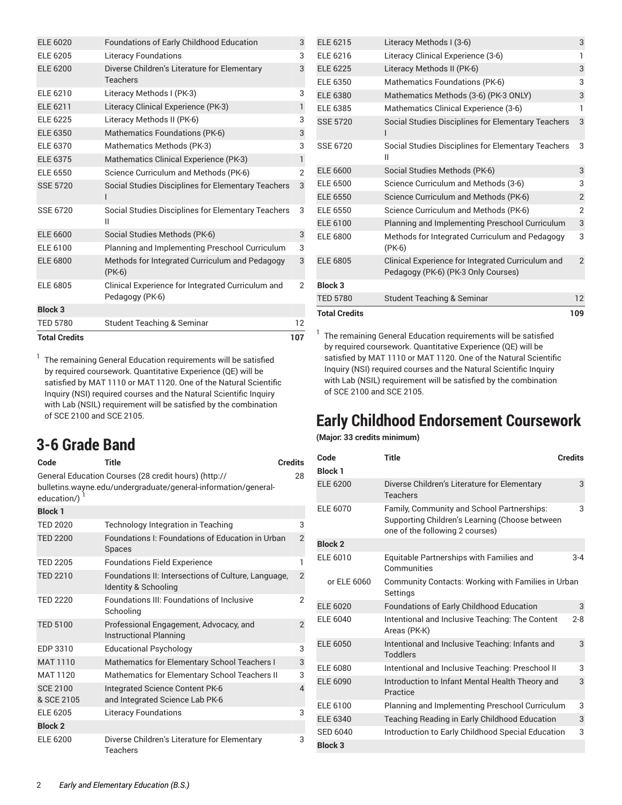| <b>Total Credits</b> |                                                                      | 107               |
|----------------------|----------------------------------------------------------------------|-------------------|
| <b>TED 5780</b>      | <b>Student Teaching &amp; Seminar</b>                                | $12 \overline{ }$ |
| <b>Block 3</b>       |                                                                      |                   |
| <b>ELE 6805</b>      | Clinical Experience for Integrated Curriculum and<br>Pedagogy (PK-6) | 2                 |
| <b>ELE 6800</b>      | Methods for Integrated Curriculum and Pedagogy<br>$(PK-6)$           | 3                 |
| ELE 6100             | Planning and Implementing Preschool Curriculum                       | 3                 |
| <b>ELE 6600</b>      | Social Studies Methods (PK-6)                                        | 3                 |
| SSE 6720             | Social Studies Disciplines for Elementary Teachers<br>Ш              | 3                 |
| <b>SSE 5720</b>      | Social Studies Disciplines for Elementary Teachers                   | 3                 |
| <b>ELE 6550</b>      | Science Curriculum and Methods (PK-6)                                | 2                 |
| <b>ELE 6375</b>      | Mathematics Clinical Experience (PK-3)                               | 1                 |
| <b>ELE 6370</b>      | Mathematics Methods (PK-3)                                           | 3                 |
| <b>ELE 6350</b>      | Mathematics Foundations (PK-6)                                       | 3                 |
| <b>ELE 6225</b>      | Literacy Methods II (PK-6)                                           | 3                 |
| <b>ELE 6211</b>      | Literacy Clinical Experience (PK-3)                                  | $\mathbf{1}$      |
| ELE 6210             | Literacy Methods I (PK-3)                                            | 3                 |
| <b>ELE 6200</b>      | Diverse Children's Literature for Elementary<br><b>Teachers</b>      | 3                 |
| ELE 6205             | <b>Literacy Foundations</b>                                          | 3                 |
| <b>ELE 6020</b>      | Foundations of Early Childhood Education                             | 3                 |

<sup>1</sup> The remaining General Education requirements will be satisfied by required coursework. Quantitative Experience (QE) will be satisfied by MAT 1110 or MAT 1120. One of the Natural Scientific Inquiry (NSI) required courses and the Natural Scientific Inquiry with Lab (NSIL) requirement will be satisfied by the combination of SCE 2100 and SCE 2105.

## **3-6 Grade Band**

| Code                          | Title                                                                                                                  | <b>Credits</b> |
|-------------------------------|------------------------------------------------------------------------------------------------------------------------|----------------|
| education/)                   | General Education Courses (28 credit hours) (http://<br>bulletins.wayne.edu/undergraduate/general-information/general- | 28             |
| <b>Block 1</b>                |                                                                                                                        |                |
| <b>TED 2020</b>               | <b>Technology Integration in Teaching</b>                                                                              | 3              |
| <b>TED 2200</b>               | Foundations I: Foundations of Education in Urban<br><b>Spaces</b>                                                      | $\overline{2}$ |
| <b>TED 2205</b>               | <b>Foundations Field Experience</b>                                                                                    | 1              |
| <b>TED 2210</b>               | Foundations II: Intersections of Culture, Language,<br>Identity & Schooling                                            | $\overline{2}$ |
| <b>TED 2220</b>               | Foundations III: Foundations of Inclusive<br>Schooling                                                                 | $\overline{2}$ |
| <b>TED 5100</b>               | Professional Engagement, Advocacy, and<br><b>Instructional Planning</b>                                                | $\overline{2}$ |
| EDP 3310                      | <b>Educational Psychology</b>                                                                                          | 3              |
| <b>MAT 1110</b>               | Mathematics for Elementary School Teachers I                                                                           | 3              |
| <b>MAT 1120</b>               | Mathematics for Elementary School Teachers II                                                                          | 3              |
| <b>SCE 2100</b><br>& SCE 2105 | Integrated Science Content PK-6<br>and Integrated Science Lab PK-6                                                     | $\overline{4}$ |
| <b>ELE 6205</b>               | <b>Literacy Foundations</b>                                                                                            | 3              |
| <b>Block 2</b>                |                                                                                                                        |                |
| ELE 6200                      | Diverse Children's Literature for Elementary<br>Teachers                                                               | 3              |

| <b>Total Credits</b> |                                                                                          | 109            |
|----------------------|------------------------------------------------------------------------------------------|----------------|
| <b>TED 5780</b>      | <b>Student Teaching &amp; Seminar</b>                                                    | 12             |
| <b>Block 3</b>       |                                                                                          |                |
| <b>ELE 6805</b>      | Clinical Experience for Integrated Curriculum and<br>Pedagogy (PK-6) (PK-3 Only Courses) | $\overline{2}$ |
| ELE 6800             | Methods for Integrated Curriculum and Pedagogy<br>$(PK-6)$                               | 3              |
| <b>ELE 6100</b>      | Planning and Implementing Preschool Curriculum                                           | 3              |
| ELE 6550             | Science Curriculum and Methods (PK-6)                                                    | $\overline{2}$ |
| <b>ELE 6550</b>      | Science Curriculum and Methods (PK-6)                                                    | $\overline{2}$ |
| <b>ELE 6500</b>      | Science Curriculum and Methods (3-6)                                                     | 3              |
| <b>ELE 6600</b>      | Social Studies Methods (PK-6)                                                            | 3              |
| SSE 6720             | Social Studies Disciplines for Elementary Teachers<br>Ш                                  | 3              |
| <b>SSE 5720</b>      | Social Studies Disciplines for Elementary Teachers                                       | 3              |
| ELE 6385             | Mathematics Clinical Experience (3-6)                                                    | 1              |
| <b>ELE 6380</b>      | Mathematics Methods (3-6) (PK-3 ONLY)                                                    | 3              |
| ELE 6350             | Mathematics Foundations (PK-6)                                                           | 3              |
| <b>ELE 6225</b>      | Literacy Methods II (PK-6)                                                               | 3              |
| ELE 6216             | Literacy Clinical Experience (3-6)                                                       | 1              |
| ELE 6215             | Literacy Methods I (3-6)                                                                 | 3              |
|                      |                                                                                          |                |

<sup>1</sup> The remaining General Education requirements will be satisfied by required coursework. Quantitative Experience (QE) will be satisfied by MAT 1110 or MAT 1120. One of the Natural Scientific Inquiry (NSI) required courses and the Natural Scientific Inquiry with Lab (NSIL) requirement will be satisfied by the combination of SCE 2100 and SCE 2105.

## **Early Childhood Endorsement Coursework**

#### **(Major: 33 credits minimum)**

| Code<br><b>Block 1</b>            | <b>Title</b>                                                                                                                    | <b>Credits</b> |
|-----------------------------------|---------------------------------------------------------------------------------------------------------------------------------|----------------|
| <b>ELE 6200</b>                   | Diverse Children's Literature for Elementary<br><b>Teachers</b>                                                                 | 3              |
| <b>ELE 6070</b>                   | Family, Community and School Partnerships:<br>Supporting Children's Learning (Choose between<br>one of the following 2 courses) | 3              |
| <b>Block 2</b>                    |                                                                                                                                 |                |
| ELE 6010                          | Equitable Partnerships with Families and<br>Communities                                                                         | $3 - 4$        |
| or ELE 6060                       | Community Contacts: Working with Families in Urban<br>Settings                                                                  |                |
| ELE 6020                          | Foundations of Early Childhood Education                                                                                        | 3              |
| ELE 6040                          | Intentional and Inclusive Teaching: The Content<br>Areas (PK-K)                                                                 | $2 - 8$        |
| <b>ELE 6050</b>                   | Intentional and Inclusive Teaching: Infants and<br>Toddlers                                                                     | 3              |
| ELE 6080                          | Intentional and Inclusive Teaching: Preschool II                                                                                | 3              |
| <b>ELE 6090</b>                   | Introduction to Infant Mental Health Theory and<br>Practice                                                                     | 3              |
| ELE 6100                          | Planning and Implementing Preschool Curriculum                                                                                  | 3              |
| ELE 6340                          | Teaching Reading in Early Childhood Education                                                                                   | 3              |
| <b>SED 6040</b><br><b>Block 3</b> | Introduction to Early Childhood Special Education                                                                               | 3              |